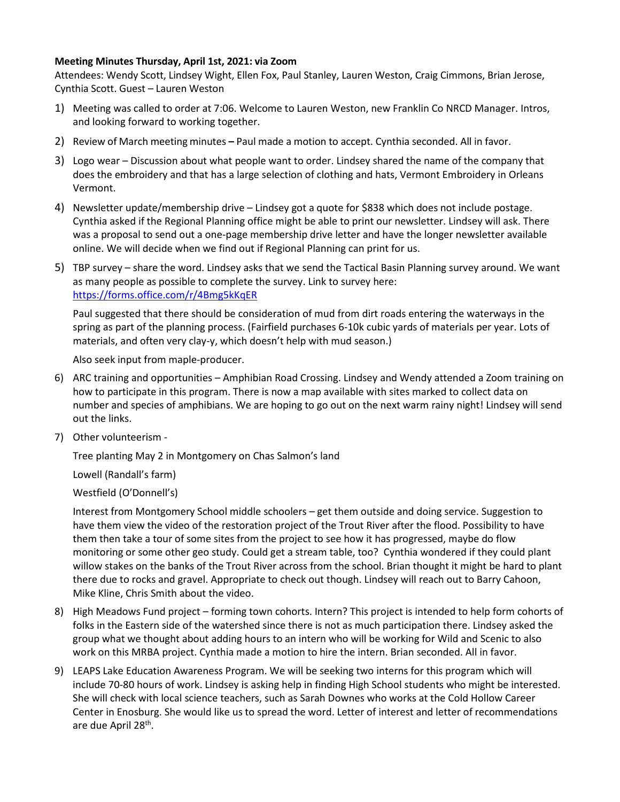## **Meeting Minutes Thursday, April 1st, 2021: via Zoom**

Attendees: Wendy Scott, Lindsey Wight, Ellen Fox, Paul Stanley, Lauren Weston, Craig Cimmons, Brian Jerose, Cynthia Scott. Guest – Lauren Weston

- 1) Meeting was called to order at 7:06. Welcome to Lauren Weston, new Franklin Co NRCD Manager. Intros, and looking forward to working together.
- 2) Review of March meeting minutes **–** Paul made a motion to accept. Cynthia seconded. All in favor.
- 3) Logo wear Discussion about what people want to order. Lindsey shared the name of the company that does the embroidery and that has a large selection of clothing and hats, Vermont Embroidery in Orleans Vermont.
- 4) Newsletter update/membership drive Lindsey got a quote for \$838 which does not include postage. Cynthia asked if the Regional Planning office might be able to print our newsletter. Lindsey will ask. There was a proposal to send out a one-page membership drive letter and have the longer newsletter available online. We will decide when we find out if Regional Planning can print for us.
- 5) TBP survey share the word. Lindsey asks that we send the Tactical Basin Planning survey around. We want as many people as possible to complete the survey. Link to survey here: <https://forms.office.com/r/4Bmg5kKqER>

Paul suggested that there should be consideration of mud from dirt roads entering the waterways in the spring as part of the planning process. (Fairfield purchases 6-10k cubic yards of materials per year. Lots of materials, and often very clay-y, which doesn't help with mud season.)

Also seek input from maple-producer.

- 6) ARC training and opportunities Amphibian Road Crossing. Lindsey and Wendy attended a Zoom training on how to participate in this program. There is now a map available with sites marked to collect data on number and species of amphibians. We are hoping to go out on the next warm rainy night! Lindsey will send out the links.
- 7) Other volunteerism -

Tree planting May 2 in Montgomery on Chas Salmon's land

Lowell (Randall's farm)

## Westfield (O'Donnell's)

Interest from Montgomery School middle schoolers – get them outside and doing service. Suggestion to have them view the video of the restoration project of the Trout River after the flood. Possibility to have them then take a tour of some sites from the project to see how it has progressed, maybe do flow monitoring or some other geo study. Could get a stream table, too? Cynthia wondered if they could plant willow stakes on the banks of the Trout River across from the school. Brian thought it might be hard to plant there due to rocks and gravel. Appropriate to check out though. Lindsey will reach out to Barry Cahoon, Mike Kline, Chris Smith about the video.

- 8) High Meadows Fund project forming town cohorts. Intern? This project is intended to help form cohorts of folks in the Eastern side of the watershed since there is not as much participation there. Lindsey asked the group what we thought about adding hours to an intern who will be working for Wild and Scenic to also work on this MRBA project. Cynthia made a motion to hire the intern. Brian seconded. All in favor.
- 9) LEAPS Lake Education Awareness Program. We will be seeking two interns for this program which will include 70-80 hours of work. Lindsey is asking help in finding High School students who might be interested. She will check with local science teachers, such as Sarah Downes who works at the Cold Hollow Career Center in Enosburg. She would like us to spread the word. Letter of interest and letter of recommendations are due April 28<sup>th</sup>.